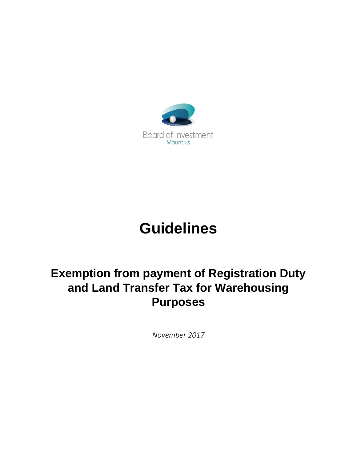

# **Guidelines**

## **Exemption from payment of Registration Duty and Land Transfer Tax for Warehousing Purposes**

*November 2017*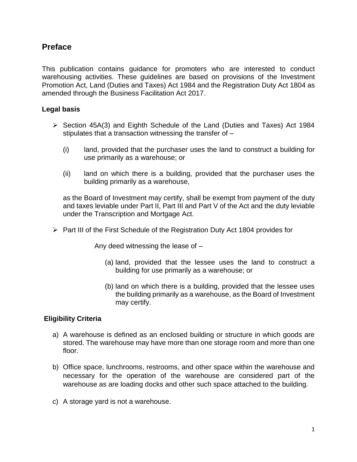### **Preface**

This publication contains guidance for promoters who are interested to conduct warehousing activities. These guidelines are based on provisions of the Investment Promotion Act, Land (Duties and Taxes) Act 1984 and the Registration Duty Act 1804 as amended through the Business Facilitation Act 2017.

#### **Legal basis**

- ➢ Section 45A(3) and Eighth Schedule of the Land (Duties and Taxes) Act 1984 stipulates that a transaction witnessing the transfer of –
	- (i) land, provided that the purchaser uses the land to construct a building for use primarily as a warehouse; or
	- (ii) land on which there is a building, provided that the purchaser uses the building primarily as a warehouse,

as the Board of Investment may certify, shall be exempt from payment of the duty and taxes leviable under Part II, Part III and Part V of the Act and the duty leviable under the Transcription and Mortgage Act.

➢ Part III of the First Schedule of the Registration Duty Act 1804 provides for

Any deed witnessing the lease of –

- (a) land, provided that the lessee uses the land to construct a building for use primarily as a warehouse; or
- (b) land on which there is a building, provided that the lessee uses the building primarily as a warehouse, as the Board of Investment may certify.

#### **Eligibility Criteria**

- a) A warehouse is defined as an enclosed building or structure in which goods are stored. The warehouse may have more than one storage room and more than one floor.
- b) Office space, lunchrooms, restrooms, and other space within the warehouse and necessary for the operation of the warehouse are considered part of the warehouse as are loading docks and other such space attached to the building.
- c) A storage yard is not a warehouse.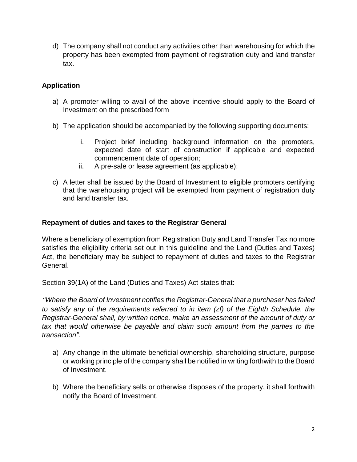d) The company shall not conduct any activities other than warehousing for which the property has been exempted from payment of registration duty and land transfer tax.

#### **Application**

- a) A promoter willing to avail of the above incentive should apply to the Board of Investment on the prescribed form
- b) The application should be accompanied by the following supporting documents:
	- i. Project brief including background information on the promoters, expected date of start of construction if applicable and expected commencement date of operation;
	- ii. A pre-sale or lease agreement (as applicable);
- c) A letter shall be issued by the Board of Investment to eligible promoters certifying that the warehousing project will be exempted from payment of registration duty and land transfer tax.

#### **Repayment of duties and taxes to the Registrar General**

Where a beneficiary of exemption from Registration Duty and Land Transfer Tax no more satisfies the eligibility criteria set out in this guideline and the Land (Duties and Taxes) Act, the beneficiary may be subject to repayment of duties and taxes to the Registrar General.

Section 39(1A) of the Land (Duties and Taxes) Act states that:

*"Where the Board of Investment notifies the Registrar-General that a purchaser has failed to satisfy any of the requirements referred to in item (zf) of the Eighth Schedule, the Registrar-General shall, by written notice, make an assessment of the amount of duty or tax that would otherwise be payable and claim such amount from the parties to the transaction".*

- a) Any change in the ultimate beneficial ownership, shareholding structure, purpose or working principle of the company shall be notified in writing forthwith to the Board of Investment.
- b) Where the beneficiary sells or otherwise disposes of the property, it shall forthwith notify the Board of Investment.